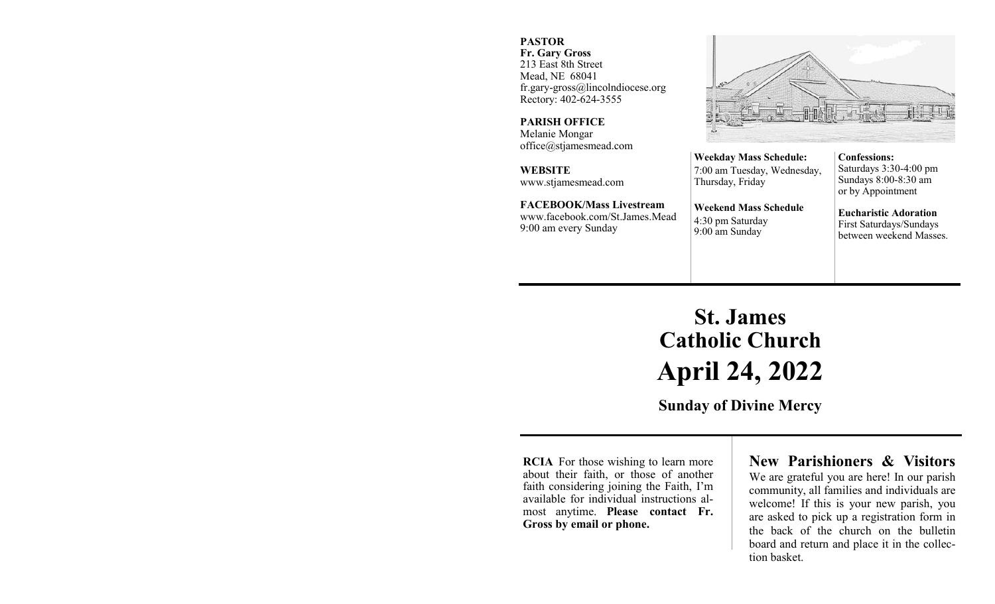#### **PASTOR**

**Fr. Gary Gross** 213 East 8th Street Mead, NE 68041 fr.gary-gross@lincolndiocese.org Rectory: 402-624-3555

**PARISH OFFICE** Melanie Mongar office@stjamesmead.com

**WEBSITE** www.stjamesmead.com

**FACEBOOK/Mass Livestream** [www.facebook.com/St.James.Mead](https://www.facebook.com/St.James.Mead/) 9:00 am every Sunday

**Confessions:**  Saturdays 3:30-4:00 pm Sundays 8:00-8:30 am or by Appointment

**Eucharistic Adoration**  First Saturdays/Sundays between weekend Masses.

# **St. James Catholic Church April 24, 2022**

**Weekday Mass Schedule:**  7:00 am Tuesday, Wednesday,

**Weekend Mass Schedule**

Thursday, Friday

4:30 pm Saturday 9:00 am Sunday

**Sunday of Divine Mercy**

**RCIA** For those wishing to learn more about their faith, or those of another faith considering joining the Faith, I'm available for individual instructions almost anytime. **Please contact Fr. Gross by email or phone.**

# **New Parishioners & Visitors**

We are grateful you are here! In our parish community, all families and individuals are welcome! If this is your new parish, you are asked to pick up a registration form in the back of the church on the bulletin board and return and place it in the collection basket.